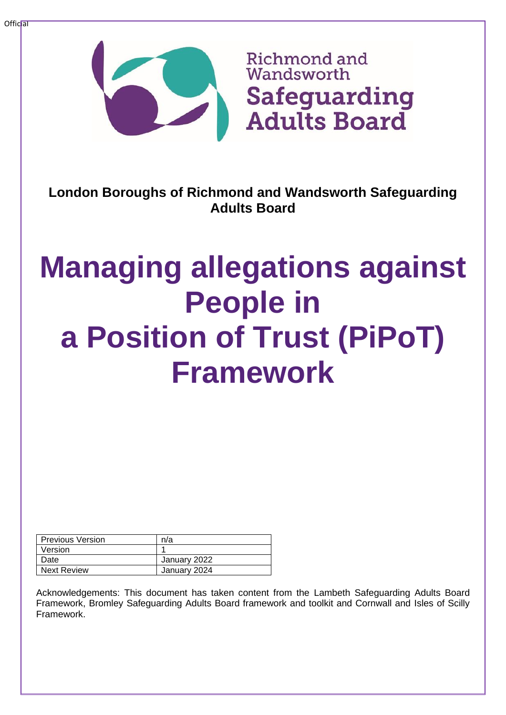

**London Boroughs of Richmond and Wandsworth Safeguarding Adults Board**

# **Managing allegations against People in a Position of Trust (PiPoT) Framework**

| <b>Previous Version</b> | n/a          |
|-------------------------|--------------|
| Version                 |              |
| Date                    | January 2022 |
| <b>Next Review</b>      | January 2024 |

Acknowledgements: This document has taken content from the Lambeth Safeguarding Adults Board Framework, Bromley Safeguarding Adults Board framework and toolkit and Cornwall and Isles of Scilly Framework.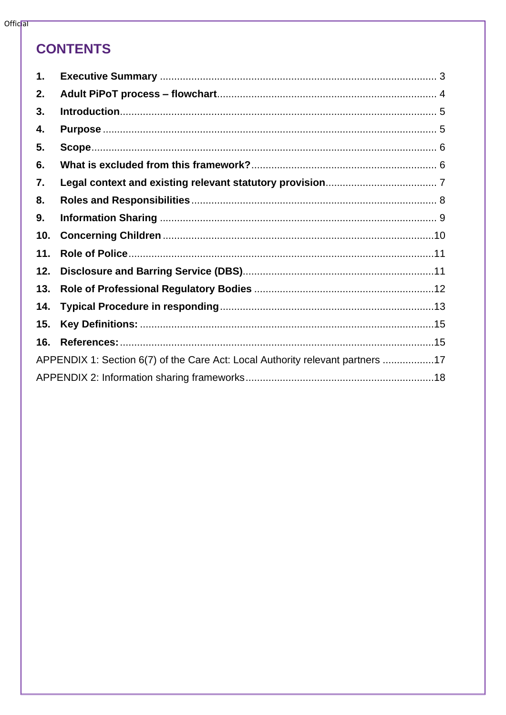# **CONTENTS**

| $\mathbf 1$ .                                                                  |  |
|--------------------------------------------------------------------------------|--|
| 2.                                                                             |  |
| 3.                                                                             |  |
| 4.                                                                             |  |
| 5.                                                                             |  |
| 6.                                                                             |  |
| 7.                                                                             |  |
| 8.                                                                             |  |
| 9.                                                                             |  |
| 10.                                                                            |  |
| 11.                                                                            |  |
| 12.                                                                            |  |
| 13.                                                                            |  |
| 14.                                                                            |  |
| 15.                                                                            |  |
| 16.                                                                            |  |
| APPENDIX 1: Section 6(7) of the Care Act: Local Authority relevant partners 17 |  |
|                                                                                |  |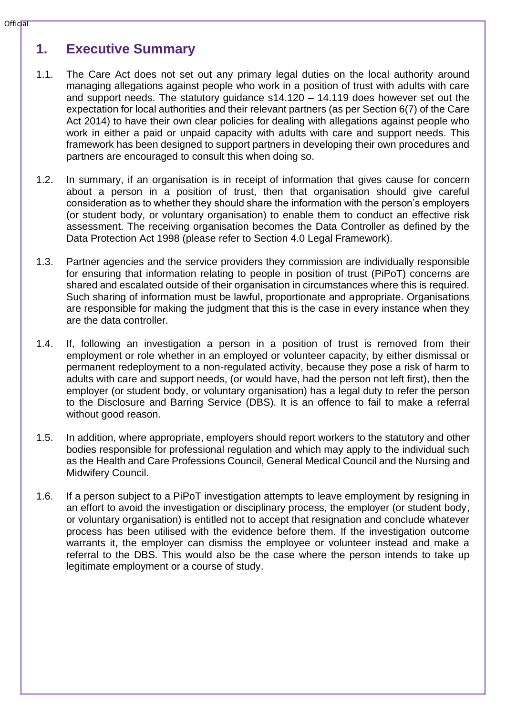# <span id="page-2-0"></span>**1. Executive Summary**

- 1.1. The Care Act does not set out any primary legal duties on the local authority around managing allegations against people who work in a position of trust with adults with care and support needs. The statutory guidance s14.120 – 14.119 does however set out the expectation for local authorities and their relevant partners (as per Section 6(7) of the Care Act 2014) to have their own clear policies for dealing with allegations against people who work in either a paid or unpaid capacity with adults with care and support needs. This framework has been designed to support partners in developing their own procedures and partners are encouraged to consult this when doing so.
- 1.2. In summary, if an organisation is in receipt of information that gives cause for concern about a person in a position of trust, then that organisation should give careful consideration as to whether they should share the information with the person's employers (or student body, or voluntary organisation) to enable them to conduct an effective risk assessment. The receiving organisation becomes the Data Controller as defined by the Data Protection Act 1998 (please refer to Section 4.0 Legal Framework).
- 1.3. Partner agencies and the service providers they commission are individually responsible for ensuring that information relating to people in position of trust (PiPoT) concerns are shared and escalated outside of their organisation in circumstances where this is required. Such sharing of information must be lawful, proportionate and appropriate. Organisations are responsible for making the judgment that this is the case in every instance when they are the data controller.
- 1.4. If, following an investigation a person in a position of trust is removed from their employment or role whether in an employed or volunteer capacity, by either dismissal or permanent redeployment to a non-regulated activity, because they pose a risk of harm to adults with care and support needs, (or would have, had the person not left first), then the employer (or student body, or voluntary organisation) has a legal duty to refer the person to the Disclosure and Barring Service (DBS). It is an offence to fail to make a referral without good reason.
- 1.5. In addition, where appropriate, employers should report workers to the statutory and other bodies responsible for professional regulation and which may apply to the individual such as the Health and Care Professions Council, General Medical Council and the Nursing and Midwifery Council.
- 1.6. If a person subject to a PiPoT investigation attempts to leave employment by resigning in an effort to avoid the investigation or disciplinary process, the employer (or student body, or voluntary organisation) is entitled not to accept that resignation and conclude whatever process has been utilised with the evidence before them. If the investigation outcome warrants it, the employer can dismiss the employee or volunteer instead and make a referral to the DBS. This would also be the case where the person intends to take up legitimate employment or a course of study.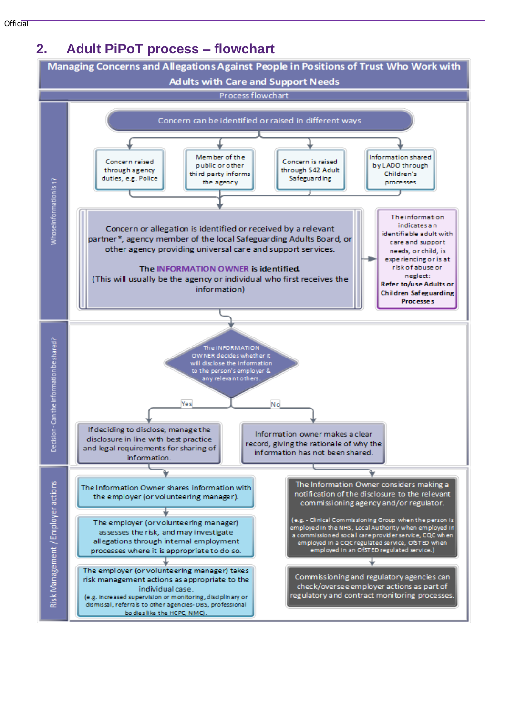<span id="page-3-0"></span>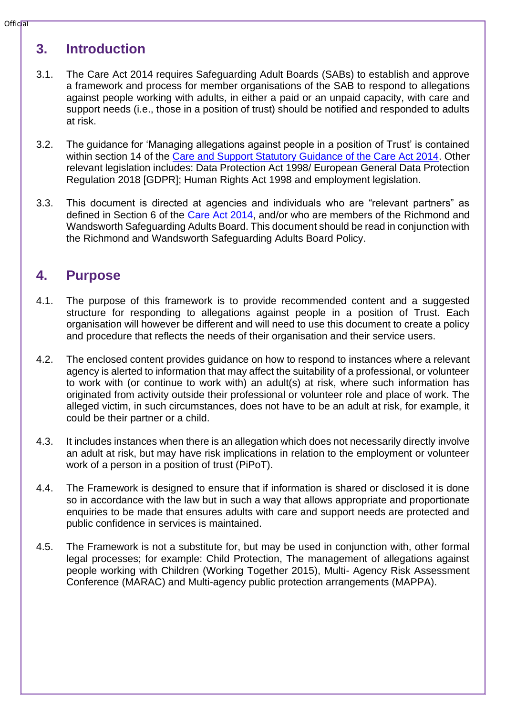# <span id="page-4-0"></span>**3. Introduction**

- 3.1. The Care Act 2014 requires Safeguarding Adult Boards (SABs) to establish and approve a framework and process for member organisations of the SAB to respond to allegations against people working with adults, in either a paid or an unpaid capacity, with care and support needs (i.e., those in a position of trust) should be notified and responded to adults at risk.
- 3.2. The guidance for 'Managing allegations against people in a position of Trust' is contained within section 14 of the [Care and Support Statutory Guidance of the Care Act 2014.](https://www.gov.uk/government/publications/care-act-statutory-guidance/care-and-support-statutory-guidance) Other relevant legislation includes: Data Protection Act 1998/ European General Data Protection Regulation 2018 [GDPR]; Human Rights Act 1998 and employment legislation.
- 3.3. This document is directed at agencies and individuals who are "relevant partners" as defined in Section 6 of the [Care Act 2014,](http://www.legislation.gov.uk/ukpga/2014/23/section/6/enacted) and/or who are members of the Richmond and Wandsworth Safeguarding Adults Board. This document should be read in conjunction with the Richmond and Wandsworth Safeguarding Adults Board Policy.

# <span id="page-4-1"></span>**4. Purpose**

- 4.1. The purpose of this framework is to provide recommended content and a suggested structure for responding to allegations against people in a position of Trust. Each organisation will however be different and will need to use this document to create a policy and procedure that reflects the needs of their organisation and their service users.
- 4.2. The enclosed content provides guidance on how to respond to instances where a relevant agency is alerted to information that may affect the suitability of a professional, or volunteer to work with (or continue to work with) an adult(s) at risk, where such information has originated from activity outside their professional or volunteer role and place of work. The alleged victim, in such circumstances, does not have to be an adult at risk, for example, it could be their partner or a child.
- 4.3. It includes instances when there is an allegation which does not necessarily directly involve an adult at risk, but may have risk implications in relation to the employment or volunteer work of a person in a position of trust (PiPoT).
- 4.4. The Framework is designed to ensure that if information is shared or disclosed it is done so in accordance with the law but in such a way that allows appropriate and proportionate enquiries to be made that ensures adults with care and support needs are protected and public confidence in services is maintained.
- 4.5. The Framework is not a substitute for, but may be used in conjunction with, other formal legal processes; for example: Child Protection, The management of allegations against people working with Children (Working Together 2015), Multi- Agency Risk Assessment Conference (MARAC) and Multi-agency public protection arrangements (MAPPA).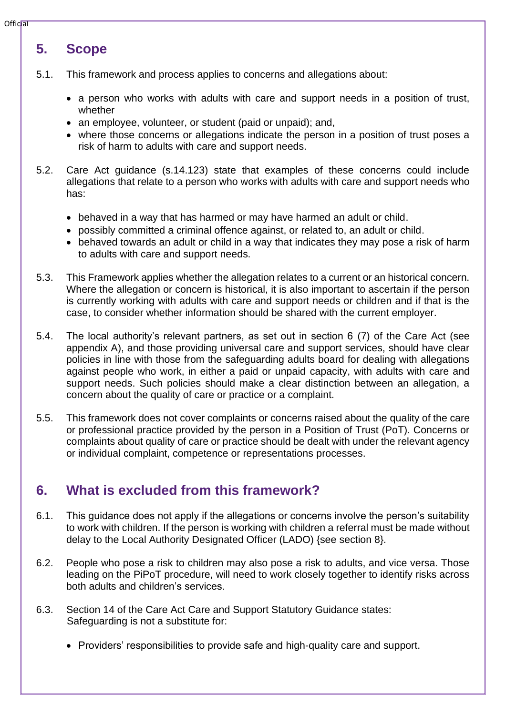#### **Official**

# <span id="page-5-0"></span>**5. Scope**

- 5.1. This framework and process applies to concerns and allegations about:
	- a person who works with adults with care and support needs in a position of trust, whether
	- an employee, volunteer, or student (paid or unpaid); and,
	- where those concerns or allegations indicate the person in a position of trust poses a risk of harm to adults with care and support needs.
- 5.2. Care Act guidance (s.14.123) state that examples of these concerns could include allegations that relate to a person who works with adults with care and support needs who has:
	- behaved in a way that has harmed or may have harmed an adult or child.
	- possibly committed a criminal offence against, or related to, an adult or child.
	- behaved towards an adult or child in a way that indicates they may pose a risk of harm to adults with care and support needs.
- 5.3. This Framework applies whether the allegation relates to a current or an historical concern. Where the allegation or concern is historical, it is also important to ascertain if the person is currently working with adults with care and support needs or children and if that is the case, to consider whether information should be shared with the current employer.
- 5.4. The local authority's relevant partners, as set out in section 6 (7) of the Care Act (see appendix A), and those providing universal care and support services, should have clear policies in line with those from the safeguarding adults board for dealing with allegations against people who work, in either a paid or unpaid capacity, with adults with care and support needs. Such policies should make a clear distinction between an allegation, a concern about the quality of care or practice or a complaint.
- 5.5. This framework does not cover complaints or concerns raised about the quality of the care or professional practice provided by the person in a Position of Trust (PoT). Concerns or complaints about quality of care or practice should be dealt with under the relevant agency or individual complaint, competence or representations processes.

# <span id="page-5-1"></span>**6. What is excluded from this framework?**

- 6.1. This guidance does not apply if the allegations or concerns involve the person's suitability to work with children. If the person is working with children a referral must be made without delay to the Local Authority Designated Officer (LADO) {see section 8}.
- 6.2. People who pose a risk to children may also pose a risk to adults, and vice versa. Those leading on the PiPoT procedure, will need to work closely together to identify risks across both adults and children's services.
- 6.3. Section 14 of the Care Act Care and Support Statutory Guidance states: Safeguarding is not a substitute for:
	- Providers' responsibilities to provide safe and high-quality care and support.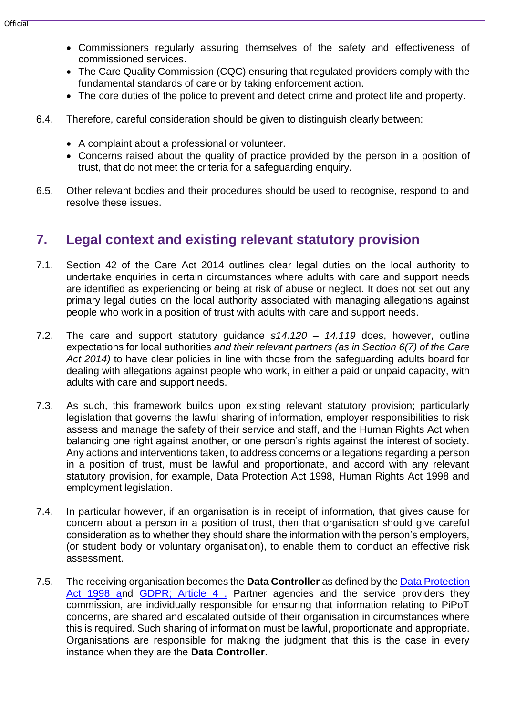- Commissioners regularly assuring themselves of the safety and effectiveness of commissioned services.
- The Care Quality Commission (CQC) ensuring that regulated providers comply with the fundamental standards of care or by taking enforcement action.
- The core duties of the police to prevent and detect crime and protect life and property.
- 6.4. Therefore, careful consideration should be given to distinguish clearly between:
	- A complaint about a professional or volunteer.
	- Concerns raised about the quality of practice provided by the person in a position of trust, that do not meet the criteria for a safeguarding enquiry.
- 6.5. Other relevant bodies and their procedures should be used to recognise, respond to and resolve these issues.

# <span id="page-6-0"></span>**7. Legal context and existing relevant statutory provision**

- 7.1. Section 42 of the Care Act 2014 outlines clear legal duties on the local authority to undertake enquiries in certain circumstances where adults with care and support needs are identified as experiencing or being at risk of abuse or neglect. It does not set out any primary legal duties on the local authority associated with managing allegations against people who work in a position of trust with adults with care and support needs.
- 7.2. The care and support statutory guidance *s14.120 – 14.119* does, however, outline expectations for local authorities *and their relevant partners (as in Section 6(7) of the Care Act 2014)* to have clear policies in line with those from the safeguarding adults board for dealing with allegations against people who work, in either a paid or unpaid capacity, with adults with care and support needs.
- 7.3. As such, this framework builds upon existing relevant statutory provision; particularly legislation that governs the lawful sharing of information, employer responsibilities to risk assess and manage the safety of their service and staff, and the Human Rights Act when balancing one right against another, or one person's rights against the interest of society. Any actions and interventions taken, to address concerns or allegations regarding a person in a position of trust, must be lawful and proportionate, and accord with any relevant statutory provision, for example, Data Protection Act 1998, Human Rights Act 1998 and employment legislation.
- 7.4. In particular however, if an organisation is in receipt of information, that gives cause for concern about a person in a position of trust, then that organisation should give careful consideration as to whether they should share the information with the person's employers, (or student body or voluntary organisation), to enable them to conduct an effective risk assessment.
- 7.5. The receiving organisation becomes the **Data Controller** as defined by the [Data Protection](http://www.legislation.gov.uk/ukpga/1998/29/contents)  [Act 1998 an](http://www.legislation.gov.uk/ukpga/1998/29/contents)d GDPR; Article 4. Partner agencies and the service providers they commission, are individually responsible for ensuring that information relating to PiPoT concerns, are shared and escalated outside of their organisation in circumstances where this is required. Such sharing of information must be lawful, proportionate and appropriate. Organisations are responsible for making the judgment that this is the case in every instance when they are the **Data Controller**.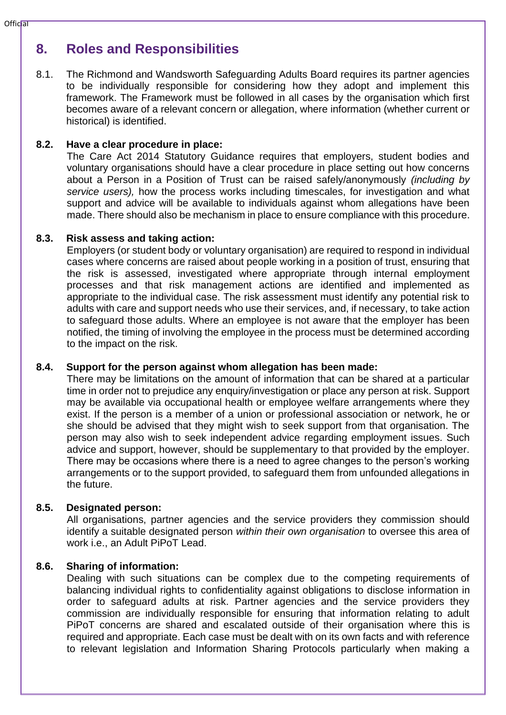#### $Offic$ al

# <span id="page-7-0"></span>**8. Roles and Responsibilities**

8.1. The Richmond and Wandsworth Safeguarding Adults Board requires its partner agencies to be individually responsible for considering how they adopt and implement this framework. The Framework must be followed in all cases by the organisation which first becomes aware of a relevant concern or allegation, where information (whether current or historical) is identified.

## **8.2. Have a clear procedure in place:**

The Care Act 2014 Statutory Guidance requires that employers, student bodies and voluntary organisations should have a clear procedure in place setting out how concerns about a Person in a Position of Trust can be raised safely/anonymously *(including by service users),* how the process works including timescales, for investigation and what support and advice will be available to individuals against whom allegations have been made. There should also be mechanism in place to ensure compliance with this procedure.

## **8.3. Risk assess and taking action:**

Employers (or student body or voluntary organisation) are required to respond in individual cases where concerns are raised about people working in a position of trust, ensuring that the risk is assessed, investigated where appropriate through internal employment processes and that risk management actions are identified and implemented as appropriate to the individual case. The risk assessment must identify any potential risk to adults with care and support needs who use their services, and, if necessary, to take action to safeguard those adults. Where an employee is not aware that the employer has been notified, the timing of involving the employee in the process must be determined according to the impact on the risk.

## **8.4. Support for the person against whom allegation has been made:**

There may be limitations on the amount of information that can be shared at a particular time in order not to prejudice any enquiry/investigation or place any person at risk. Support may be available via occupational health or employee welfare arrangements where they exist. If the person is a member of a union or professional association or network, he or she should be advised that they might wish to seek support from that organisation. The person may also wish to seek independent advice regarding employment issues. Such advice and support, however, should be supplementary to that provided by the employer. There may be occasions where there is a need to agree changes to the person's working arrangements or to the support provided, to safeguard them from unfounded allegations in the future.

## **8.5. Designated person:**

All organisations, partner agencies and the service providers they commission should identify a suitable designated person *within their own organisation* to oversee this area of work i.e., an Adult PiPoT Lead.

## **8.6. Sharing of information:**

Dealing with such situations can be complex due to the competing requirements of balancing individual rights to confidentiality against obligations to disclose information in order to safeguard adults at risk. Partner agencies and the service providers they commission are individually responsible for ensuring that information relating to adult PiPoT concerns are shared and escalated outside of their organisation where this is required and appropriate. Each case must be dealt with on its own facts and with reference to relevant legislation and Information Sharing Protocols particularly when making a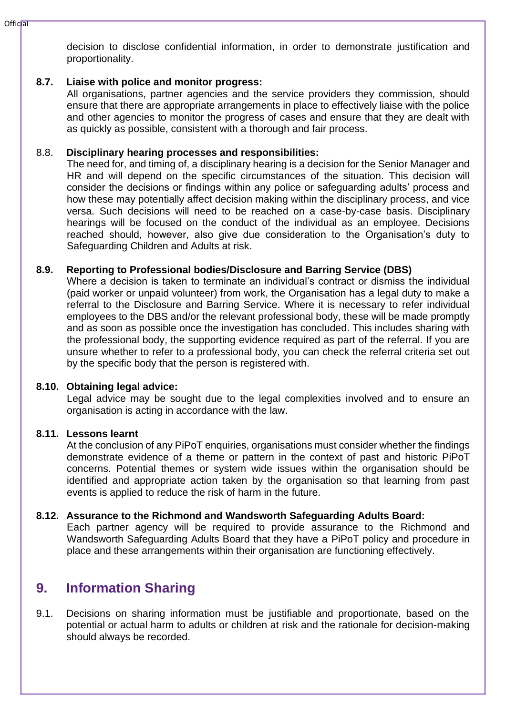decision to disclose confidential information, in order to demonstrate justification and proportionality.

## **8.7. Liaise with police and monitor progress:**

All organisations, partner agencies and the service providers they commission, should ensure that there are appropriate arrangements in place to effectively liaise with the police and other agencies to monitor the progress of cases and ensure that they are dealt with as quickly as possible, consistent with a thorough and fair process.

## 8.8. **Disciplinary hearing processes and responsibilities:**

The need for, and timing of, a disciplinary hearing is a decision for the Senior Manager and HR and will depend on the specific circumstances of the situation. This decision will consider the decisions or findings within any police or safeguarding adults' process and how these may potentially affect decision making within the disciplinary process, and vice versa. Such decisions will need to be reached on a case-by-case basis. Disciplinary hearings will be focused on the conduct of the individual as an employee. Decisions reached should, however, also give due consideration to the Organisation's duty to Safeguarding Children and Adults at risk.

## **8.9. Reporting to Professional bodies/Disclosure and Barring Service (DBS)**

Where a decision is taken to terminate an individual's contract or dismiss the individual (paid worker or unpaid volunteer) from work, the Organisation has a legal duty to make a referral to the Disclosure and Barring Service. Where it is necessary to refer individual employees to the DBS and/or the relevant professional body, these will be made promptly and as soon as possible once the investigation has concluded. This includes sharing with the professional body, the supporting evidence required as part of the referral. If you are unsure whether to refer to a professional body, you can check the referral criteria set out by the specific body that the person is registered with.

## **8.10. Obtaining legal advice:**

Legal advice may be sought due to the legal complexities involved and to ensure an organisation is acting in accordance with the law.

## **8.11. Lessons learnt**

At the conclusion of any PiPoT enquiries, organisations must consider whether the findings demonstrate evidence of a theme or pattern in the context of past and historic PiPoT concerns. Potential themes or system wide issues within the organisation should be identified and appropriate action taken by the organisation so that learning from past events is applied to reduce the risk of harm in the future.

## **8.12. Assurance to the Richmond and Wandsworth Safeguarding Adults Board:**

Each partner agency will be required to provide assurance to the Richmond and Wandsworth Safeguarding Adults Board that they have a PiPoT policy and procedure in place and these arrangements within their organisation are functioning effectively.

# <span id="page-8-0"></span>**9. Information Sharing**

9.1. Decisions on sharing information must be justifiable and proportionate, based on the potential or actual harm to adults or children at risk and the rationale for decision-making should always be recorded.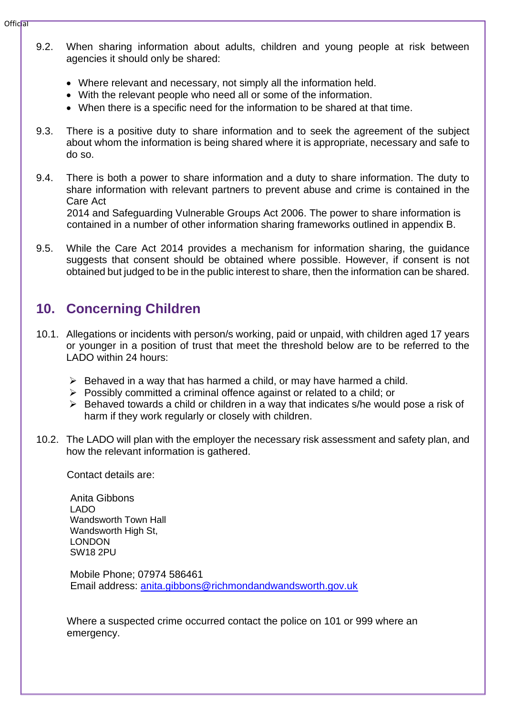- 9.2. When sharing information about adults, children and young people at risk between agencies it should only be shared:
	- Where relevant and necessary, not simply all the information held.
	- With the relevant people who need all or some of the information.
	- When there is a specific need for the information to be shared at that time.
- 9.3. There is a positive duty to share information and to seek the agreement of the subject about whom the information is being shared where it is appropriate, necessary and safe to do so.
- 9.4. There is both a power to share information and a duty to share information. The duty to share information with relevant partners to prevent abuse and crime is contained in the Care Act 2014 and Safeguarding Vulnerable Groups Act 2006. The power to share information is

contained in a number of other information sharing frameworks outlined in appendix B.

9.5. While the Care Act 2014 provides a mechanism for information sharing, the guidance suggests that consent should be obtained where possible. However, if consent is not obtained but judged to be in the public interest to share, then the information can be shared.

# <span id="page-9-0"></span>**10. Concerning Children**

- 10.1. Allegations or incidents with person/s working, paid or unpaid, with children aged 17 years or younger in a position of trust that meet the threshold below are to be referred to the LADO within 24 hours:
	- $\triangleright$  Behaved in a way that has harmed a child, or may have harmed a child.
	- ➢ Possibly committed a criminal offence against or related to a child; or
	- ➢ Behaved towards a child or children in a way that indicates s/he would pose a risk of harm if they work regularly or closely with children.
- 10.2. The LADO will plan with the employer the necessary risk assessment and safety plan, and how the relevant information is gathered.

Contact details are:

Anita Gibbons LADO Wandsworth Town Hall Wandsworth High St, LONDON SW18 2PU

 Mobile Phone; 07974 586461 Email address: [anita.gibbons@richmondandwandsworth.gov.uk](mailto:anita.gibbons@richmondandwandsworth.gov.uk)

Where a suspected crime occurred contact the police on 101 or 999 where an emergency.

 $Offic$ al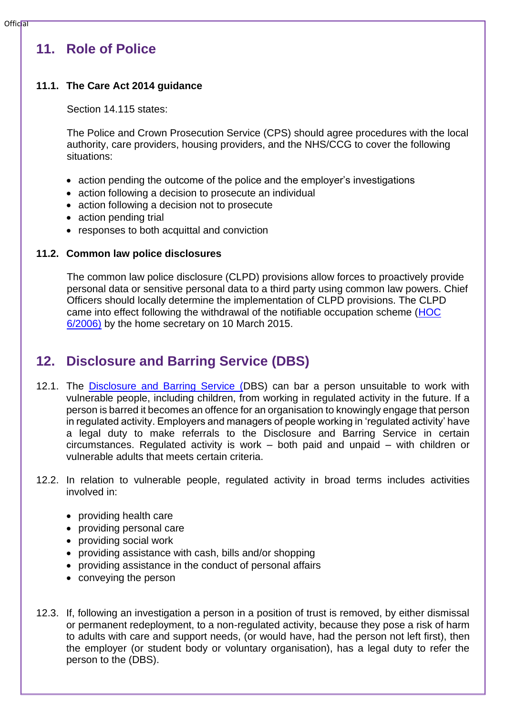# <span id="page-10-0"></span>**11. Role of Police**

## **11.1. The Care Act 2014 guidance**

Section 14.115 states:

The Police and Crown Prosecution Service (CPS) should agree procedures with the local authority, care providers, housing providers, and the NHS/CCG to cover the following situations:

- action pending the outcome of the police and the employer's investigations
- action following a decision to prosecute an individual
- action following a decision not to prosecute
- action pending trial
- responses to both acquittal and conviction

## **11.2. Common law police disclosures**

The common law police disclosure (CLPD) provisions allow forces to proactively provide personal data or sensitive personal data to a third party using common law powers. Chief Officers should locally determine the implementation of CLPD provisions. The CLPD came into effect following the withdrawal of the notifiable occupation scheme [\(HOC](https://www.gov.uk/government/publications/the-notifiable-occupations-scheme-revised-guidance-for-police-forces)  [6/2006\)](https://www.gov.uk/government/publications/the-notifiable-occupations-scheme-revised-guidance-for-police-forces) by the home secretary on 10 March 2015.

# <span id="page-10-1"></span>**12. Disclosure and Barring Service (DBS)**

- 12.1. The [Disclosure and Barring Service \(D](https://www.gov.uk/government/organisations/disclosure-and-barring-service)BS) can bar a person unsuitable to work with vulnerable people, including children, from working in regulated activity in the future. If a person is barred it becomes an offence for an organisation to knowingly engage that person in regulated activity. Employers and managers of people working in 'regulated activity' have a legal duty to make referrals to the Disclosure and Barring Service in certain circumstances. Regulated activity is work – both paid and unpaid – with children or vulnerable adults that meets certain criteria.
- 12.2. In relation to vulnerable people, regulated activity in broad terms includes activities involved in:
	- providing health care
	- providing personal care
	- providing social work
	- providing assistance with cash, bills and/or shopping
	- providing assistance in the conduct of personal affairs
	- conveying the person
- 12.3. If, following an investigation a person in a position of trust is removed, by either dismissal or permanent redeployment, to a non-regulated activity, because they pose a risk of harm to adults with care and support needs, (or would have, had the person not left first), then the employer (or student body or voluntary organisation), has a legal duty to refer the person to the (DBS).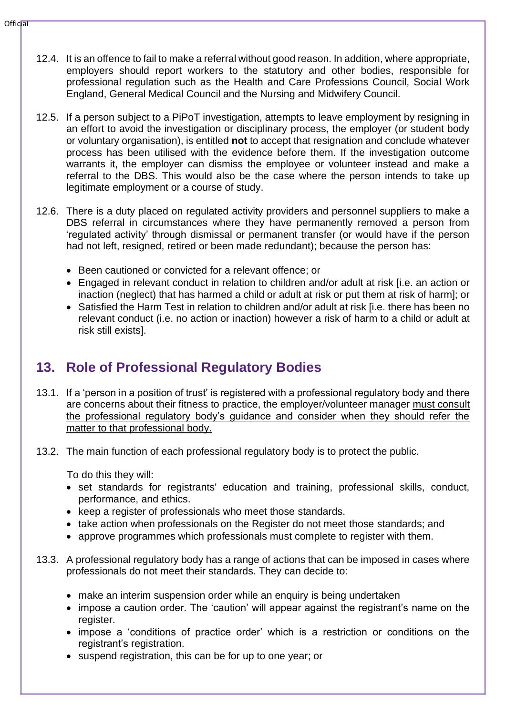- 12.4. It is an offence to fail to make a referral without good reason. In addition, where appropriate, employers should report workers to the statutory and other bodies, responsible for professional regulation such as the Health and Care Professions Council, Social Work England, General Medical Council and the Nursing and Midwifery Council.
- 12.5. If a person subject to a PiPoT investigation, attempts to leave employment by resigning in an effort to avoid the investigation or disciplinary process, the employer (or student body or voluntary organisation), is entitled **not** to accept that resignation and conclude whatever process has been utilised with the evidence before them. If the investigation outcome warrants it, the employer can dismiss the employee or volunteer instead and make a referral to the DBS. This would also be the case where the person intends to take up legitimate employment or a course of study.
- 12.6. There is a duty placed on regulated activity providers and personnel suppliers to make a DBS referral in circumstances where they have permanently removed a person from 'regulated activity' through dismissal or permanent transfer (or would have if the person had not left, resigned, retired or been made redundant); because the person has:
	- Been cautioned or convicted for a relevant offence; or
	- Engaged in relevant conduct in relation to children and/or adult at risk [i.e. an action or inaction (neglect) that has harmed a child or adult at risk or put them at risk of harm]; or
	- Satisfied the Harm Test in relation to children and/or adult at risk [i.e. there has been no relevant conduct (i.e. no action or inaction) however a risk of harm to a child or adult at risk still exists].

# <span id="page-11-0"></span>**13. Role of Professional Regulatory Bodies**

- 13.1. If a 'person in a position of trust' is registered with a professional regulatory body and there are concerns about their fitness to practice, the employer/volunteer manager must consult the professional regulatory body's guidance and consider when they should refer the matter to that professional body.
- 13.2. The main function of each professional regulatory body is to protect the public.

To do this they will:

- set standards for registrants' education and training, professional skills, conduct, performance, and ethics.
- keep a register of professionals who meet those standards.
- take action when professionals on the Register do not meet those standards; and
- approve programmes which professionals must complete to register with them.
- 13.3. A professional regulatory body has a range of actions that can be imposed in cases where professionals do not meet their standards. They can decide to:
	- make an interim suspension order while an enquiry is being undertaken
	- impose a caution order. The 'caution' will appear against the registrant's name on the register.
	- impose a 'conditions of practice order' which is a restriction or conditions on the registrant's registration.
	- suspend registration, this can be for up to one year; or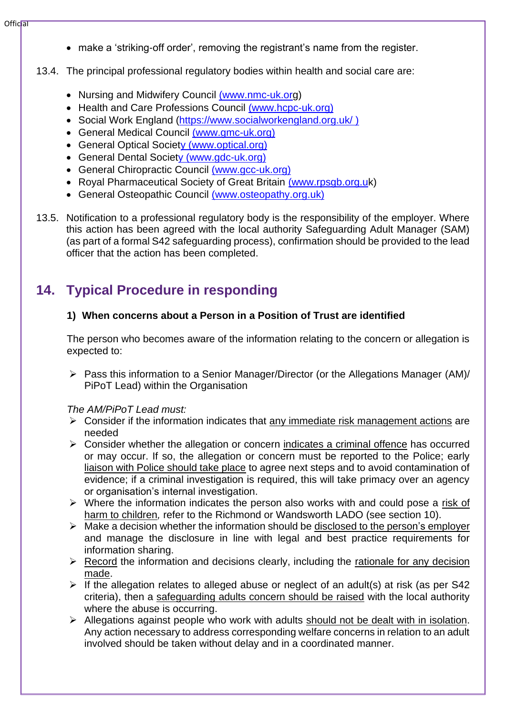- make a 'striking-off order', removing the registrant's name from the register.
- 13.4. The principal professional regulatory bodies within health and social care are:
	- Nursing and Midwifery Council [\(www.nmc-uk.org](http://www.nmc-uk.org/))
	- Health and Care Professions Council [\(www.hcpc-uk.org\)](http://www.hcpc-uk.org/)
	- Social Work England [\(https://www.socialworkengland.org.uk/ \)](https://www.socialworkengland.org.uk/)
	- General Medical Council [\(www.gmc-uk.org\)](http://www.gmc-uk.org/)
	- General Optical Socie[ty \(www.optical.org\)](http://www.optical.org/)
	- General Dental Socie[ty \(www.gdc-uk.org\)](http://www.gdc-uk.org/)
	- General Chiropractic Council [\(www.gcc-uk.org\)](http://www.gcc-uk.org/)
	- Royal Pharmaceutical Society of Great Britain [\(www.rpsgb.org.uk](http://www.rpsgb.org.uk/))
	- General Osteopathic Council [\(www.osteopathy.org.uk\)](http://www.osteopathy.org.uk/)
- 13.5. Notification to a professional regulatory body is the responsibility of the employer. Where this action has been agreed with the local authority Safeguarding Adult Manager (SAM) (as part of a formal S42 safeguarding process), confirmation should be provided to the lead officer that the action has been completed.

# <span id="page-12-0"></span>**14. Typical Procedure in responding**

## **1) When concerns about a Person in a Position of Trust are identified**

The person who becomes aware of the information relating to the concern or allegation is expected to:

➢ Pass this information to a Senior Manager/Director (or the Allegations Manager (AM)/ PiPoT Lead) within the Organisation

## *The AM/PiPoT Lead must:*

- $\triangleright$  Consider if the information indicates that any immediate risk management actions are needed
- ➢ Consider whether the allegation or concern indicates a criminal offence has occurred or may occur. If so, the allegation or concern must be reported to the Police; early liaison with Police should take place to agree next steps and to avoid contamination of evidence; if a criminal investigation is required, this will take primacy over an agency or organisation's internal investigation.
- ➢ Where the information indicates the person also works with and could pose a risk of harm to children*,* refer to the Richmond or Wandsworth LADO (see section 10).
- $\triangleright$  Make a decision whether the information should be disclosed to the person's employer and manage the disclosure in line with legal and best practice requirements for information sharing.
- $\triangleright$  Record the information and decisions clearly, including the rationale for any decision made.
- $\triangleright$  If the allegation relates to alleged abuse or neglect of an adult(s) at risk (as per S42 criteria), then a safeguarding adults concern should be raised with the local authority where the abuse is occurring.
- ➢ Allegations against people who work with adults should not be dealt with in isolation. Any action necessary to address corresponding welfare concerns in relation to an adult involved should be taken without delay and in a coordinated manner.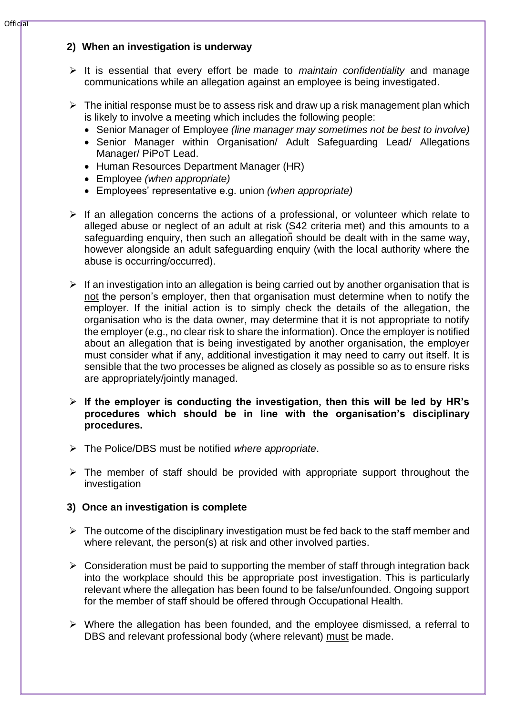## **2) When an investigation is underway**

- ➢ It is essential that every effort be made to *maintain confidentiality* and manage communications while an allegation against an employee is being investigated.
- $\triangleright$  The initial response must be to assess risk and draw up a risk management plan which is likely to involve a meeting which includes the following people:
	- Senior Manager of Employee *(line manager may sometimes not be best to involve)*
	- Senior Manager within Organisation/ Adult Safeguarding Lead/ Allegations Manager/ PiPoT Lead.
	- Human Resources Department Manager (HR)
	- Employee *(when appropriate)*
	- Employees' representative e.g. union *(when appropriate)*
- $\triangleright$  If an allegation concerns the actions of a professional, or volunteer which relate to alleged abuse or neglect of an adult at risk (S42 criteria met) and this amounts to a safeguarding enquiry, then such an allegation should be dealt with in the same way, however alongside an adult safeguarding enquiry (with the local authority where the abuse is occurring/occurred).
- $\triangleright$  If an investigation into an allegation is being carried out by another organisation that is not the person's employer, then that organisation must determine when to notify the employer. If the initial action is to simply check the details of the allegation, the organisation who is the data owner, may determine that it is not appropriate to notify the employer (e.g., no clear risk to share the information). Once the employer is notified about an allegation that is being investigated by another organisation, the employer must consider what if any, additional investigation it may need to carry out itself. It is sensible that the two processes be aligned as closely as possible so as to ensure risks are appropriately/jointly managed.
- ➢ **If the employer is conducting the investigation, then this will be led by HR's procedures which should be in line with the organisation's disciplinary procedures.**
- ➢ The Police/DBS must be notified *where appropriate*.
- $\triangleright$  The member of staff should be provided with appropriate support throughout the investigation

## **3) Once an investigation is complete**

- $\triangleright$  The outcome of the disciplinary investigation must be fed back to the staff member and where relevant, the person(s) at risk and other involved parties.
- $\triangleright$  Consideration must be paid to supporting the member of staff through integration back into the workplace should this be appropriate post investigation. This is particularly relevant where the allegation has been found to be false/unfounded. Ongoing support for the member of staff should be offered through Occupational Health.
- ➢ Where the allegation has been founded, and the employee dismissed, a referral to DBS and relevant professional body (where relevant) must be made.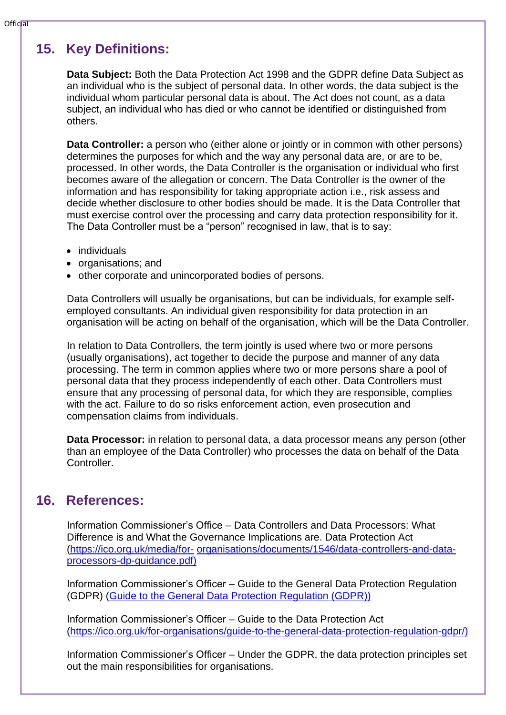# <span id="page-14-0"></span>**15. Key Definitions:**

**Data Subject:** Both the Data Protection Act 1998 and the GDPR define Data Subject as an individual who is the subject of personal data. In other words, the data subject is the individual whom particular personal data is about. The Act does not count, as a data subject, an individual who has died or who cannot be identified or distinguished from others.

**Data Controller:** a person who (either alone or jointly or in common with other persons) determines the purposes for which and the way any personal data are, or are to be, processed. In other words, the Data Controller is the organisation or individual who first becomes aware of the allegation or concern. The Data Controller is the owner of the information and has responsibility for taking appropriate action i.e., risk assess and decide whether disclosure to other bodies should be made. It is the Data Controller that must exercise control over the processing and carry data protection responsibility for it. The Data Controller must be a "person" recognised in law, that is to say:

- individuals
- organisations; and
- other corporate and unincorporated bodies of persons.

Data Controllers will usually be organisations, but can be individuals, for example selfemployed consultants. An individual given responsibility for data protection in an organisation will be acting on behalf of the organisation, which will be the Data Controller.

In relation to Data Controllers, the term jointly is used where two or more persons (usually organisations), act together to decide the purpose and manner of any data processing. The term in common applies where two or more persons share a pool of personal data that they process independently of each other. Data Controllers must ensure that any processing of personal data, for which they are responsible, complies with the act. Failure to do so risks enforcement action, even prosecution and compensation claims from individuals.

**Data Processor:** in relation to personal data, a data processor means any person (other than an employee of the Data Controller) who processes the data on behalf of the Data Controller.

# <span id="page-14-1"></span>**16. References:**

Information Commissioner's Office – Data Controllers and Data Processors: What Difference is and What the Governance Implications are. Data Protection Act [\(https://ico.org.uk/media/for-](https://ico.org.uk/media/for-organisations/documents/1546/data-controllers-and-data-processors-dp-guidance.pdf) [organisations/documents/1546/data-controllers-and-data](https://ico.org.uk/media/for-organisations/documents/1546/data-controllers-and-data-processors-dp-guidance.pdf)[processors-dp-guidance.pdf\)](https://ico.org.uk/media/for-organisations/documents/1546/data-controllers-and-data-processors-dp-guidance.pdf)

Information Commissioner's Officer – Guide to the General Data Protection Regulation (GDPR) [\(Guide to the General Data Protection Regulation \(GDPR\)\)](https://ico.org.uk/for-organisations/guide-to-the-general-data-protection-regulation-gdpr/)

Information Commissioner's Officer – Guide to the Data Protection Act [\(https://ico.org.uk/for-organisations/guide-to-the-general-data-protection-regulation-gdpr/\)](https://ico.org.uk/for-organisations/guide-to-the-general-data-protection-regulation-gdpr/)

Information Commissioner's Officer – Under the GDPR, the data protection principles set out the main responsibilities for organisations.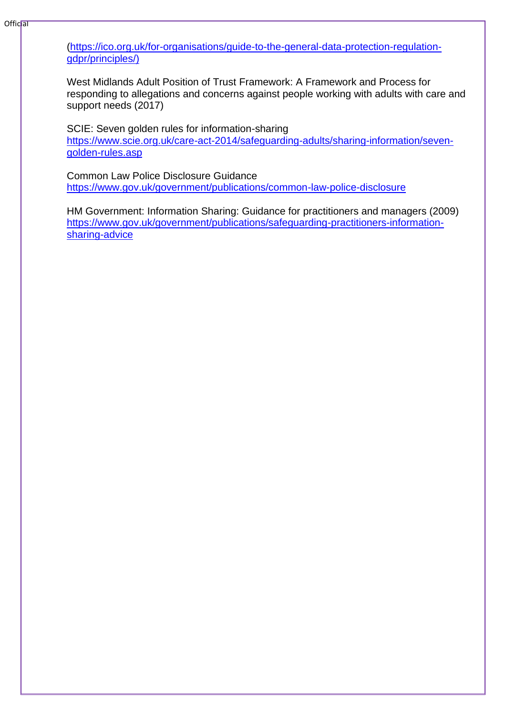[\(https://ico.org.uk/for-organisations/guide-to-the-general-data-protection-regulation](https://ico.org.uk/for-organisations/guide-to-the-general-data-protection-regulation-gdpr/principles/)[gdpr/principles/\)](https://ico.org.uk/for-organisations/guide-to-the-general-data-protection-regulation-gdpr/principles/)

West Midlands Adult Position of Trust Framework: A Framework and Process for responding to allegations and concerns against people working with adults with care and support needs (2017)

SCIE: Seven golden rules for information-sharing [https://www.scie.org.uk/care-act-2014/safeguarding-adults/sharing-information/seven](https://www.scie.org.uk/care-act-2014/safeguarding-adults/sharing-information/seven-golden-rules.asp)[golden-rules.asp](https://www.scie.org.uk/care-act-2014/safeguarding-adults/sharing-information/seven-golden-rules.asp)

Common Law Police Disclosure Guidance <https://www.gov.uk/government/publications/common-law-police-disclosure>

HM Government: Information Sharing: Guidance for practitioners and managers (2009) [https://www.gov.uk/government/publications/safeguarding-practitioners-information](https://www.gov.uk/government/publications/safeguarding-practitioners-information-sharing-advice)[sharing-advice](https://www.gov.uk/government/publications/safeguarding-practitioners-information-sharing-advice)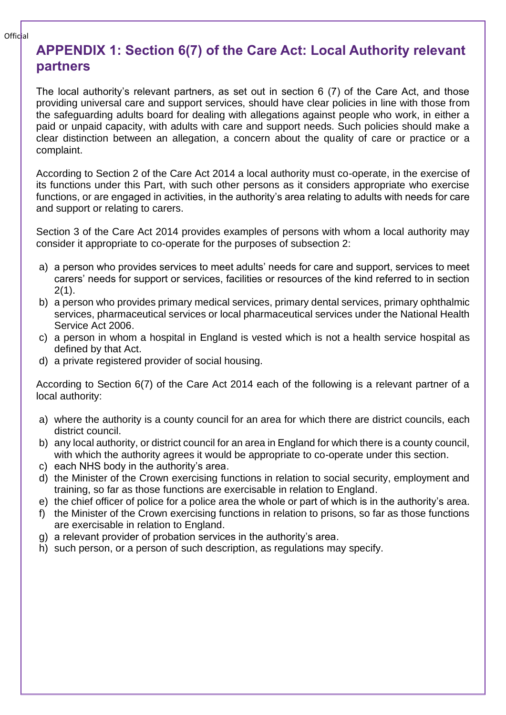# <span id="page-16-0"></span>**APPENDIX 1: Section 6(7) of the Care Act: Local Authority relevant partners**

The local authority's relevant partners, as set out in section 6 (7) of the Care Act, and those providing universal care and support services, should have clear policies in line with those from the safeguarding adults board for dealing with allegations against people who work, in either a paid or unpaid capacity, with adults with care and support needs. Such policies should make a clear distinction between an allegation, a concern about the quality of care or practice or a complaint.

According to Section 2 of the Care Act 2014 a local authority must co-operate, in the exercise of its functions under this Part, with such other persons as it considers appropriate who exercise functions, or are engaged in activities, in the authority's area relating to adults with needs for care and support or relating to carers.

Section 3 of the Care Act 2014 provides examples of persons with whom a local authority may consider it appropriate to co-operate for the purposes of subsection 2:

- a) a person who provides services to meet adults' needs for care and support, services to meet carers' needs for support or services, facilities or resources of the kind referred to in section 2(1).
- b) a person who provides primary medical services, primary dental services, primary ophthalmic services, pharmaceutical services or local pharmaceutical services under the National Health Service Act 2006.
- c) a person in whom a hospital in England is vested which is not a health service hospital as defined by that Act.
- d) a private registered provider of social housing.

According to Section 6(7) of the Care Act 2014 each of the following is a relevant partner of a local authority:

- a) where the authority is a county council for an area for which there are district councils, each district council.
- b) any local authority, or district council for an area in England for which there is a county council, with which the authority agrees it would be appropriate to co-operate under this section.
- c) each NHS body in the authority's area.
- d) the Minister of the Crown exercising functions in relation to social security, employment and training, so far as those functions are exercisable in relation to England.
- e) the chief officer of police for a police area the whole or part of which is in the authority's area.
- f) the Minister of the Crown exercising functions in relation to prisons, so far as those functions are exercisable in relation to England.
- g) a relevant provider of probation services in the authority's area.
- h) such person, or a person of such description, as regulations may specify.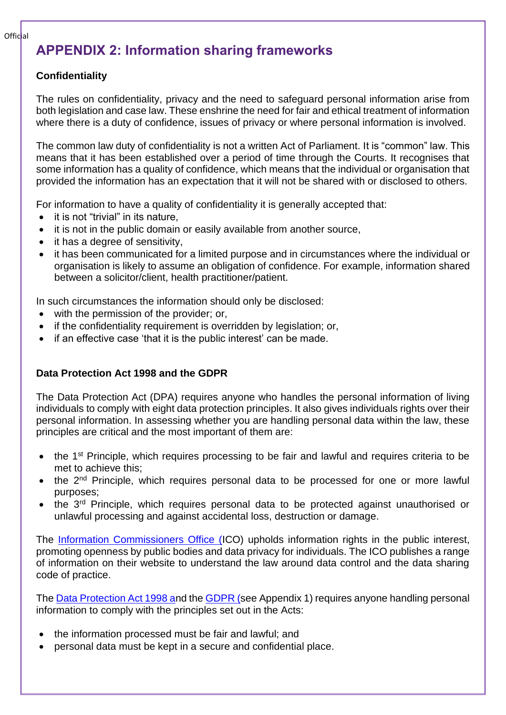# <span id="page-17-0"></span>**APPENDIX 2: Information sharing frameworks**

## **Confidentiality**

The rules on confidentiality, privacy and the need to safeguard personal information arise from both legislation and case law. These enshrine the need for fair and ethical treatment of information where there is a duty of confidence, issues of privacy or where personal information is involved.

The common law duty of confidentiality is not a written Act of Parliament. It is "common" law. This means that it has been established over a period of time through the Courts. It recognises that some information has a quality of confidence, which means that the individual or organisation that provided the information has an expectation that it will not be shared with or disclosed to others.

For information to have a quality of confidentiality it is generally accepted that:

- it is not "trivial" in its nature.
- it is not in the public domain or easily available from another source,
- it has a degree of sensitivity,
- it has been communicated for a limited purpose and in circumstances where the individual or organisation is likely to assume an obligation of confidence. For example, information shared between a solicitor/client, health practitioner/patient.

In such circumstances the information should only be disclosed:

- with the permission of the provider; or,
- if the confidentiality requirement is overridden by legislation; or,
- if an effective case 'that it is the public interest' can be made.

## **Data Protection Act 1998 and the GDPR**

The Data Protection Act (DPA) requires anyone who handles the personal information of living individuals to comply with eight data protection principles. It also gives individuals rights over their personal information. In assessing whether you are handling personal data within the law, these principles are critical and the most important of them are:

- the 1<sup>st</sup> Principle, which requires processing to be fair and lawful and requires criteria to be met to achieve this;
- the 2<sup>nd</sup> Principle, which requires personal data to be processed for one or more lawful purposes;
- the 3<sup>rd</sup> Principle, which requires personal data to be protected against unauthorised or unlawful processing and against accidental loss, destruction or damage.

The [Information Commissioners Office \(I](https://ico.org.uk/)CO) upholds information rights in the public interest, promoting openness by public bodies and data privacy for individuals. The ICO publishes a range of information on their website to understand the law around data control and the data sharing code of practice.

The [Data Protection Act 1998 an](http://www.legislation.gov.uk/ukpga/1998/29/contents)d th[e GDPR \(s](https://ico.org.uk/for-organisations/guide-to-the-general-data-protection-regulation-gdpr/)ee Appendix 1) requires anyone handling personal information to comply with the principles set out in the Acts:

- the information processed must be fair and lawful; and
- personal data must be kept in a secure and confidential place.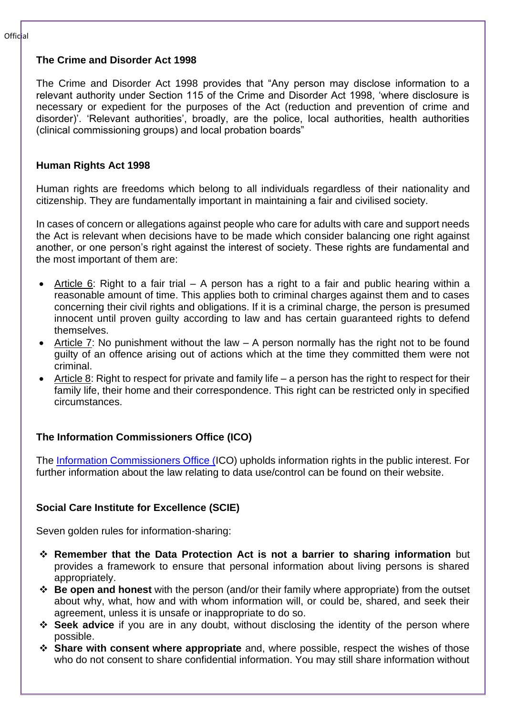## **The Crime and Disorder Act 1998**

The Crime and Disorder Act 1998 provides that "Any person may disclose information to a relevant authority under Section 115 of the Crime and Disorder Act 1998, 'where disclosure is necessary or expedient for the purposes of the Act (reduction and prevention of crime and disorder)'. 'Relevant authorities', broadly, are the police, local authorities, health authorities (clinical commissioning groups) and local probation boards"

## **Human Rights Act 1998**

Human rights are freedoms which belong to all individuals regardless of their nationality and citizenship. They are fundamentally important in maintaining a fair and civilised society.

In cases of concern or allegations against people who care for adults with care and support needs the Act is relevant when decisions have to be made which consider balancing one right against another, or one person's right against the interest of society. These rights are fundamental and the most important of them are:

- Article 6: Right to a fair trial A person has a right to a fair and public hearing within a reasonable amount of time. This applies both to criminal charges against them and to cases concerning their civil rights and obligations. If it is a criminal charge, the person is presumed innocent until proven guilty according to law and has certain guaranteed rights to defend themselves.
- Article 7: No punishment without the law  $-$  A person normally has the right not to be found guilty of an offence arising out of actions which at the time they committed them were not criminal.
- Article 8: Right to respect for private and family life a person has the right to respect for their family life, their home and their correspondence. This right can be restricted only in specified circumstances.

## **The Information Commissioners Office (ICO)**

The [Information Commissioners Office \(I](https://ico.org.uk/)CO) upholds information rights in the public interest. For further information about the law relating to data use/control can be found on their website.

## **Social Care Institute for Excellence (SCIE)**

Seven golden rules for information-sharing:

- ❖ **Remember that the Data Protection Act is not a barrier to sharing information** but provides a framework to ensure that personal information about living persons is shared appropriately.
- ❖ **Be open and honest** with the person (and/or their family where appropriate) from the outset about why, what, how and with whom information will, or could be, shared, and seek their agreement, unless it is unsafe or inappropriate to do so.
- ❖ **Seek advice** if you are in any doubt, without disclosing the identity of the person where possible.
- ❖ **Share with consent where appropriate** and, where possible, respect the wishes of those who do not consent to share confidential information. You may still share information without